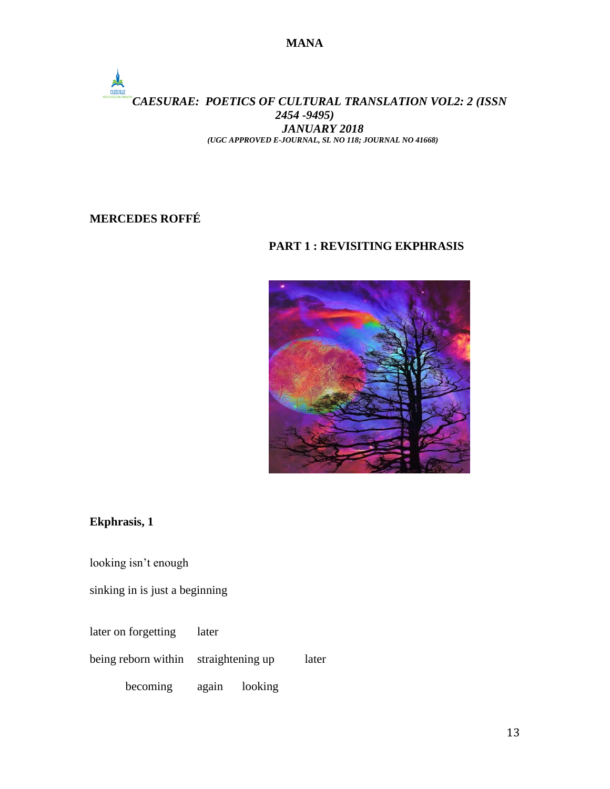### *CAESURAE: POETICS OF CULTURAL TRANSLATION VOL2: 2 (ISSN 2454 -9495) JANUARY 2018 (UGC APPROVED E-JOURNAL, SL NO 118; JOURNAL NO 41668)*

# **MERCEDES ROFFÉ**

### **PART 1 : REVISITING EKPHRASIS**



## **Ekphrasis, 1**

looking isn't enough

sinking in is just a beginning

later on forgetting later

being reborn within straightening up later

becoming again looking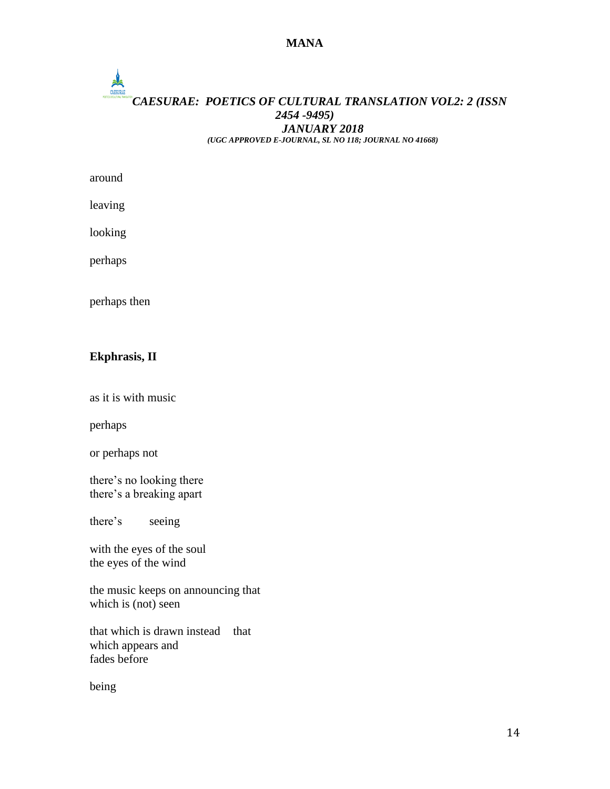# $\frac{1}{\frac{1}{\frac{1}{\sqrt{1+\frac{1}{\sqrt{1+\frac{1}{\sqrt{1+\frac{1}{\sqrt{1+\frac{1}{\sqrt{1+\frac{1}{\sqrt{1+\frac{1}{\sqrt{1+\frac{1}{\sqrt{1+\frac{1}{\sqrt{1+\frac{1}{\sqrt{1+\frac{1}{\sqrt{1+\frac{1}{\sqrt{1+\frac{1}{\sqrt{1+\frac{1}{\sqrt{1+\frac{1}{\sqrt{1+\frac{1}{\sqrt{1+\frac{1}{\sqrt{1+\frac{1}{\sqrt{1+\frac{1}{\sqrt{1+\frac{1}{\sqrt{1+\frac{1}{\sqrt{1+\frac{1}{\sqrt{1+\frac{1}{\sqrt{1+\frac{$ *CAESURAE: POETICS OF CULTURAL TRANSLATION VOL2: 2 (ISSN 2454 -9495) JANUARY 2018 (UGC APPROVED E-JOURNAL, SL NO 118; JOURNAL NO 41668)*

around

leaving

looking

perhaps

perhaps then

#### **Ekphrasis, II**

as it is with music

perhaps

or perhaps not

there's no looking there there's a breaking apart

there's seeing

with the eyes of the soul the eyes of the wind

the music keeps on announcing that which is (not) seen

that which is drawn instead that which appears and fades before

being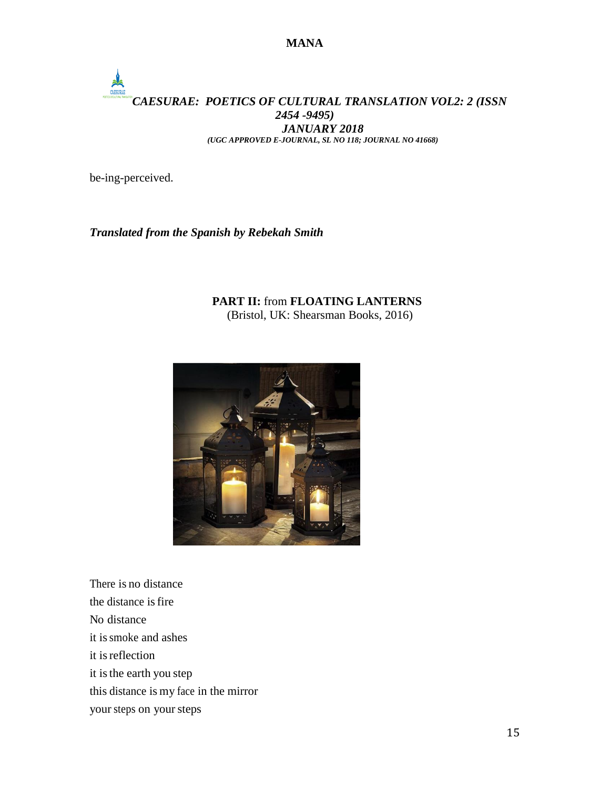# *CAESURAE: POETICS OF CULTURAL TRANSLATION VOL2: 2 (ISSN 2454 -9495) JANUARY 2018 (UGC APPROVED E-JOURNAL, SL NO 118; JOURNAL NO 41668)*

be-ing-perceived.

### *Translated from the Spanish by Rebekah Smith*

#### **PART II:** from **FLOATING LANTERNS** (Bristol, UK: Shearsman Books, 2016)



There is no distance the distance is fire No distance it issmoke and ashes it isreflection it is the earth you step this distance is my face in the mirror your steps on your steps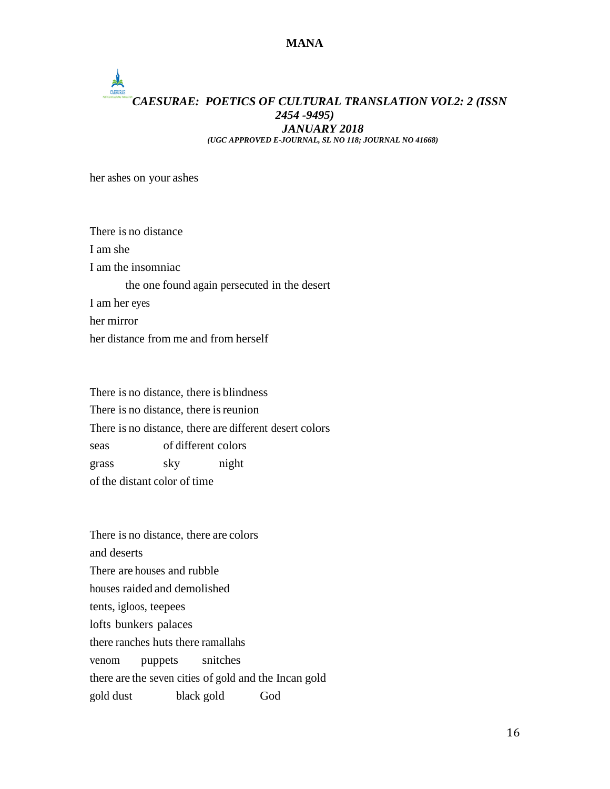## CAESURAE *CAESURAE: POETICS OF CULTURAL TRANSLATION VOL2: 2 (ISSN 2454 -9495) JANUARY 2018 (UGC APPROVED E-JOURNAL, SL NO 118; JOURNAL NO 41668)*

her ashes on your ashes

There is no distance I am she I am the insomniac the one found again persecuted in the desert I am her eyes her mirror her distance from me and from herself

There is no distance, there is blindness There is no distance, there is reunion There is no distance, there are different desert colors seas of different colors grass sky night of the distant color of time

There is no distance, there are colors and deserts There are houses and rubble houses raided and demolished tents, igloos, teepees lofts bunkers palaces there ranches huts there ramallahs venom puppets snitches there are the seven cities of gold and the Incan gold gold dust black gold God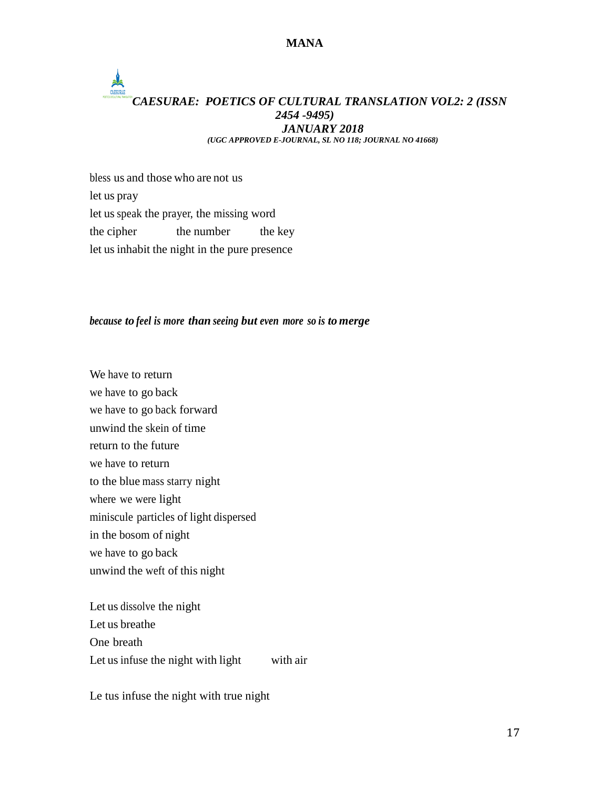## CAESURAE *CAESURAE: POETICS OF CULTURAL TRANSLATION VOL2: 2 (ISSN 2454 -9495) JANUARY 2018 (UGC APPROVED E-JOURNAL, SL NO 118; JOURNAL NO 41668)*

bless us and those who are not us let us pray let usspeak the prayer, the missing word the cipher the number the key let usinhabit the night in the pure presence

#### *because to feel is more than seeing but even more so is to merge*

We have to return we have to go back we have to go back forward unwind the skein of time return to the future we have to return to the blue mass starry night where we were light miniscule particles of light dispersed in the bosom of night we have to go back unwind the weft of this night

Let us dissolve the night Let us breathe One breath Let us infuse the night with light with air

Le tus infuse the night with true night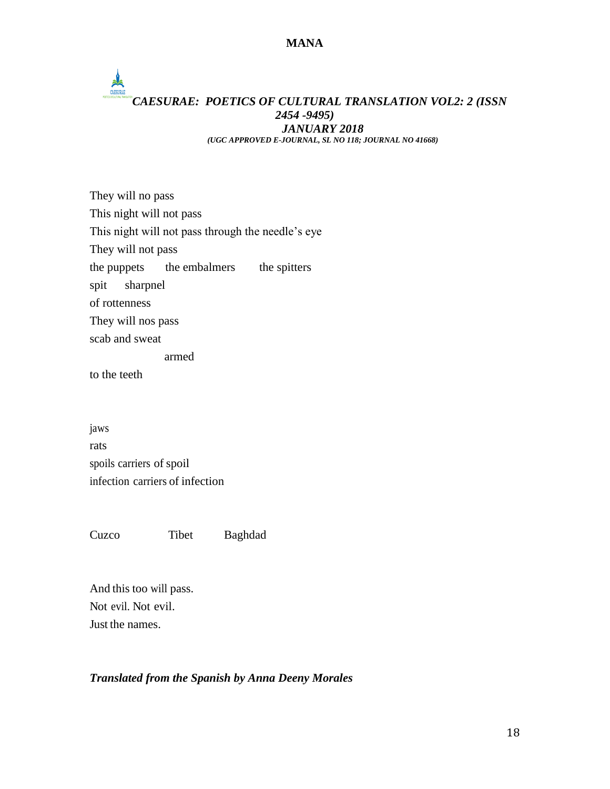# **ALCOHOL** *CAESURAE: POETICS OF CULTURAL TRANSLATION VOL2: 2 (ISSN 2454 -9495) JANUARY 2018 (UGC APPROVED E-JOURNAL, SL NO 118; JOURNAL NO 41668)*

They will no pass This night will not pass This night will not pass through the needle's eye They will not pass the puppets the embalmers the spitters spit sharpnel of rottenness They will nos pass scab and sweat armed

to the teeth

jaws rats spoils carriers of spoil infection carriers of infection

Cuzco Tibet Baghdad

And this too will pass. Not evil. Not evil. Just the names.

#### *Translated from the Spanish by Anna Deeny Morales*